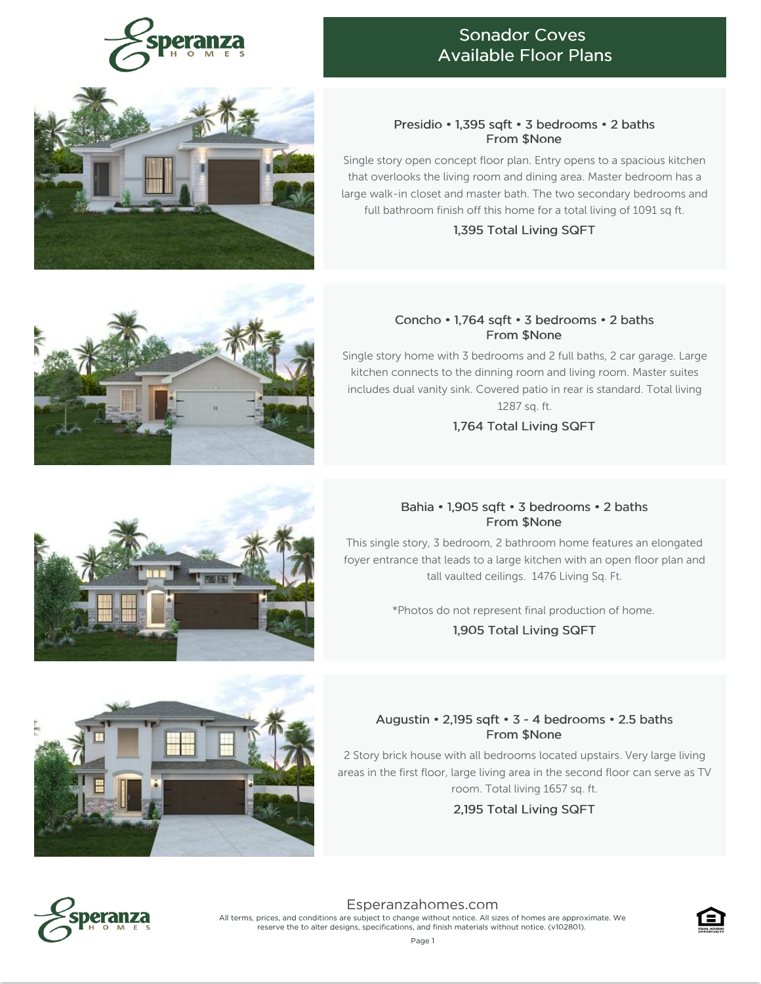

## Sonador Coves Available Floor Plans

#### Presidio • 1,395 sqft • 3 bedrooms • 2 baths From \$None

Single story open concept floor plan. Entry opens to a spacious kitchen that overlooks the living room and dining area. Master bedroom has a large walk-in closet and master bath. The two secondary bedrooms and full bathroom finish off this home for a total living of 1091 sq ft.

1,395 Total Living SQFT

#### Concho • 1,764 sqft • 3 bedrooms • 2 baths From \$None

Single story home with 3 bedrooms and 2 full baths, 2 car garage. Large kitchen connects to the dinning room and living room. Master suites includes dual vanity sink. Covered patio in rear is standard. Total living 1287 sq. ft.

1,764 Total Living SQFT

## Bahia • 1,905 sqft • 3 bedrooms • 2 baths From \$None

This single story, 3 bedroom, 2 bathroom home features an elongated foyer entrance that leads to a large kitchen with an open floor plan and tall vaulted ceilings. 1476 Living Sq. Ft.

\*Photos do not represent final production of home.

1,905 Total Living SQFT

## Augustin • 2,195 sqft • 3 - 4 bedrooms • 2.5 baths From \$None

2 Story brick house with all bedrooms located upstairs. Very large living areas in the first floor, large living area in the second floor can serve as TV room. Total living 1657 sq. ft.

2,195 Total Living SQFT



[Esperanzahomes.com](https://www.esperanzahomes.com) All terms, prices, and conditions are subject to change without notice. All sizes of homes are approximate. We reserve the to alter designs, specifications, and finish materials without notice. (v102801).